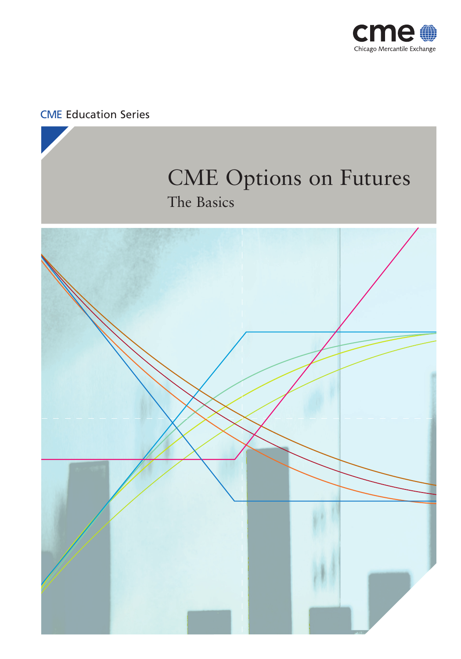

### CME Education Series

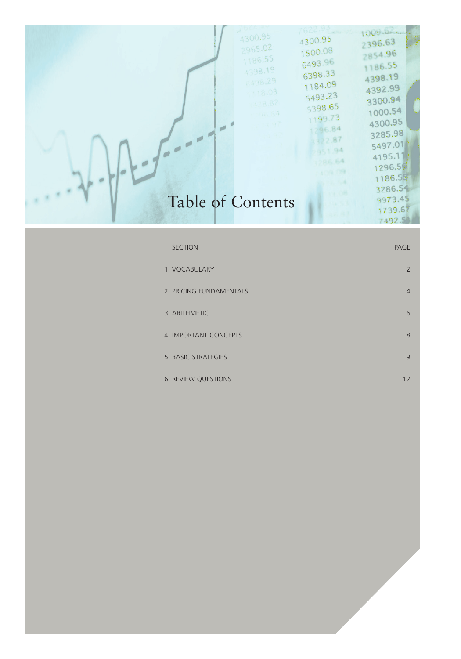| 10            | 4300.95<br>2965.02<br>1186.55<br>4398.19<br>6498.29<br>1118.03<br>1178.82<br>$-0.784$<br>$-2.07$ | 7622.5<br>4300.95<br>1500.08<br>6493.96<br>6398.33<br>1184.09<br>5493.23<br>5398.65<br>1199.73<br>1296.84<br>3322.87<br>2951.94<br>3286.64<br>1409.09 | 1009.04.<br>2396.63<br>2854.96<br>1186.55<br>4398.19<br>4392.99<br>3300.94<br>1000.54<br>4300.95<br>3285.98<br>5497.01<br>4195.11<br>1296.5<br>1186.55 |  |
|---------------|--------------------------------------------------------------------------------------------------|-------------------------------------------------------------------------------------------------------------------------------------------------------|--------------------------------------------------------------------------------------------------------------------------------------------------------|--|
| <b>ARTIST</b> | <b>Table of Contents</b>                                                                         | <b>TAGE</b><br>42.12.1                                                                                                                                | 3286.54<br>9973.45<br>1739.6<br>7492.5                                                                                                                 |  |

| <b>SECTION</b>            | <b>PAGE</b>    |
|---------------------------|----------------|
| 1 VOCABULARY              | $\overline{2}$ |
| 2 PRICING FUNDAMENTALS    | $\overline{4}$ |
| 3 ARITHMETIC              | 6              |
| 4 IMPORTANT CONCEPTS      | 8              |
| <b>5 BASIC STRATEGIES</b> | 9              |
| 6 REVIEW QUESTIONS        | 12             |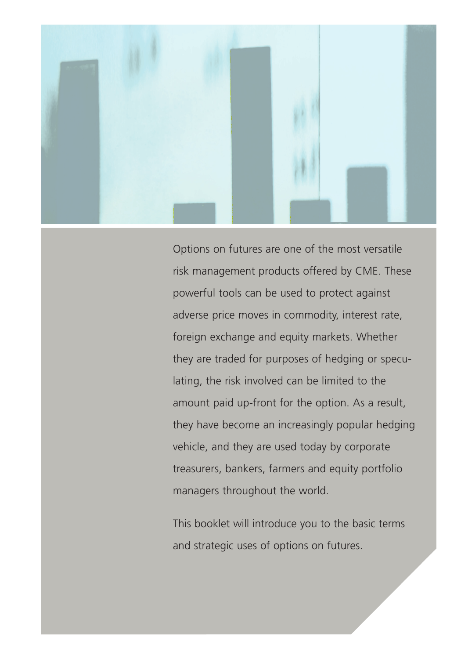

Options on futures are one of the most versatile risk management products offered by CME. These powerful tools can be used to protect against adverse price moves in commodity, interest rate, foreign exchange and equity markets. Whether they are traded for purposes of hedging or speculating, the risk involved can be limited to the amount paid up-front for the option. As a result, they have become an increasingly popular hedging vehicle, and they are used today by corporate treasurers, bankers, farmers and equity portfolio managers throughout the world.

This booklet will introduce you to the basic terms and strategic uses of options on futures.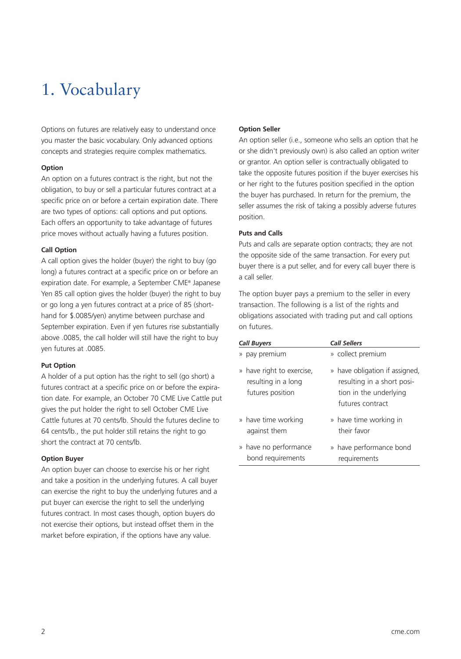### 1. Vocabulary

Options on futures are relatively easy to understand once you master the basic vocabulary. Only advanced options concepts and strategies require complex mathematics.

#### **Option**

An option on a futures contract is the right, but not the obligation, to buy or sell a particular futures contract at a specific price on or before a certain expiration date. There are two types of options: call options and put options. Each offers an opportunity to take advantage of futures price moves without actually having a futures position.

#### **Call Option**

A call option gives the holder (buyer) the right to buy (go long) a futures contract at a specific price on or before an expiration date. For example, a September CME® Japanese Yen 85 call option gives the holder (buyer) the right to buy or go long a yen futures contract at a price of 85 (shorthand for \$.0085/yen) anytime between purchase and September expiration. Even if yen futures rise substantially above .0085, the call holder will still have the right to buy yen futures at .0085.

#### **Put Option**

A holder of a put option has the right to sell (go short) a futures contract at a specific price on or before the expiration date. For example, an October 70 CME Live Cattle put gives the put holder the right to sell October CME Live Cattle futures at 70 cents/lb. Should the futures decline to 64 cents/lb., the put holder still retains the right to go short the contract at 70 cents/lb.

#### **Option Buyer**

An option buyer can choose to exercise his or her right and take a position in the underlying futures. A call buyer can exercise the right to buy the underlying futures and a put buyer can exercise the right to sell the underlying futures contract. In most cases though, option buyers do not exercise their options, but instead offset them in the market before expiration, if the options have any value.

#### **Option Seller**

An option seller (i.e., someone who sells an option that he or she didn't previously own) is also called an option writer or grantor. An option seller is contractually obligated to take the opposite futures position if the buyer exercises his or her right to the futures position specified in the option the buyer has purchased. In return for the premium, the seller assumes the risk of taking a possibly adverse futures position.

#### **Puts and Calls**

Puts and calls are separate option contracts; they are not the opposite side of the same transaction. For every put buyer there is a put seller, and for every call buyer there is a call seller.

The option buyer pays a premium to the seller in every transaction. The following is a list of the rights and obligations associated with trading put and call options on futures.

| <b>Call Buyers</b>                                                   | <b>Call Sellers</b>                                                                                        |
|----------------------------------------------------------------------|------------------------------------------------------------------------------------------------------------|
| » pay premium                                                        | » collect premium                                                                                          |
| » have right to exercise,<br>resulting in a long<br>futures position | » have obligation if assigned,<br>resulting in a short posi-<br>tion in the underlying<br>futures contract |
| » have time working<br>against them                                  | » have time working in<br>their favor                                                                      |
| » have no performance<br>bond requirements                           | » have performance bond<br>requirements                                                                    |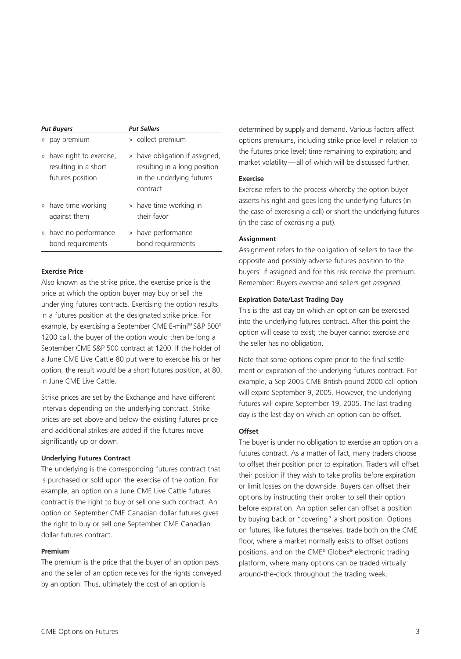| <b>Put Buyers</b> |                                                                     |  | <b>Put Sellers</b>                                                                                      |  |  |  |
|-------------------|---------------------------------------------------------------------|--|---------------------------------------------------------------------------------------------------------|--|--|--|
|                   | pay premium                                                         |  | » collect premium                                                                                       |  |  |  |
| >>                | have right to exercise,<br>resulting in a short<br>futures position |  | » have obligation if assigned,<br>resulting in a long position<br>in the underlying futures<br>contract |  |  |  |
|                   | » have time working<br>against them                                 |  | » have time working in<br>their favor                                                                   |  |  |  |
| >>                | have no performance<br>bond requirements                            |  | » have performance<br>bond requirements                                                                 |  |  |  |

#### **Exercise Price**

Also known as the strike price, the exercise price is the price at which the option buyer may buy or sell the underlying futures contracts. Exercising the option results in a futures position at the designated strike price. For example, by exercising a September CME E-mini™ S&P 500® 1200 call, the buyer of the option would then be long a September CME S&P 500 contract at 1200. If the holder of a June CME Live Cattle 80 put were to exercise his or her option, the result would be a short futures position, at 80, in June CME Live Cattle.

Strike prices are set by the Exchange and have different intervals depending on the underlying contract. Strike prices are set above and below the existing futures price and additional strikes are added if the futures move significantly up or down.

#### **Underlying Futures Contract**

The underlying is the corresponding futures contract that is purchased or sold upon the exercise of the option. For example, an option on a June CME Live Cattle futures contract is the right to buy or sell one such contract. An option on September CME Canadian dollar futures gives the right to buy or sell one September CME Canadian dollar futures contract.

#### **Premium**

The premium is the price that the buyer of an option pays and the seller of an option receives for the rights conveyed by an option. Thus, ultimately the cost of an option is

determined by supply and demand. Various factors affect options premiums, including strike price level in relation to the futures price level; time remaining to expiration; and market volatility —all of which will be discussed further.

#### **Exercise**

Exercise refers to the process whereby the option buyer asserts his right and goes long the underlying futures (in the case of exercising a call) or short the underlying futures (in the case of exercising a put).

#### **Assignment**

Assignment refers to the obligation of sellers to take the opposite and possibly adverse futures position to the buyers' if assigned and for this risk receive the premium. Remember: Buyers *exercise* and sellers get *assigned*.

#### **Expiration Date/Last Trading Day**

This is the last day on which an option can be exercised into the underlying futures contract. After this point the option will cease to exist; the buyer cannot exercise and the seller has no obligation.

Note that some options expire prior to the final settlement or expiration of the underlying futures contract. For example, a Sep 2005 CME British pound 2000 call option will expire September 9, 2005. However, the underlying futures will expire September 19, 2005. The last trading day is the last day on which an option can be offset.

#### **Offset**

The buyer is under no obligation to exercise an option on a futures contract. As a matter of fact, many traders choose to offset their position prior to expiration. Traders will offset their position if they wish to take profits before expiration or limit losses on the downside. Buyers can offset their options by instructing their broker to sell their option before expiration. An option seller can offset a position by buying back or "covering" a short position. Options on futures, like futures themselves, trade both on the CME floor, where a market normally exists to offset options positions, and on the CME® Globex® electronic trading platform, where many options can be traded virtually around-the-clock throughout the trading week.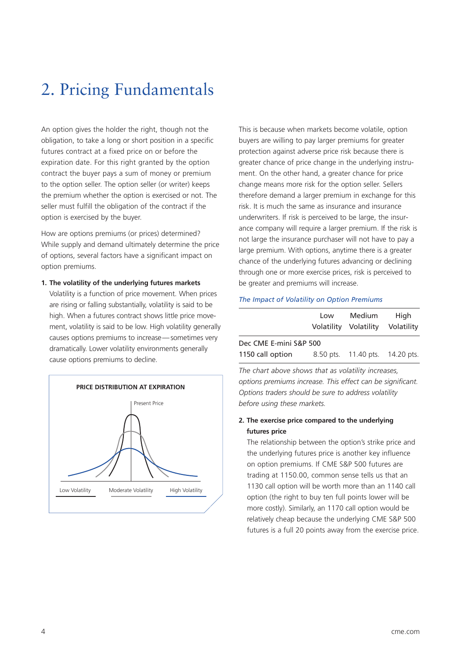# 2. Pricing Fundamentals

An option gives the holder the right, though not the obligation, to take a long or short position in a specific futures contract at a fixed price on or before the expiration date. For this right granted by the option contract the buyer pays a sum of money or premium to the option seller. The option seller (or writer) keeps the premium whether the option is exercised or not. The seller must fulfill the obligation of the contract if the option is exercised by the buyer.

How are options premiums (or prices) determined? While supply and demand ultimately determine the price of options, several factors have a significant impact on option premiums.

#### **1. The volatility of the underlying futures markets**

Volatility is a function of price movement. When prices are rising or falling substantially, volatility is said to be high. When a futures contract shows little price movement, volatility is said to be low. High volatility generally causes options premiums to increase— sometimes very dramatically. Lower volatility environments generally cause options premiums to decline.



This is because when markets become volatile, option buyers are willing to pay larger premiums for greater protection against adverse price risk because there is greater chance of price change in the underlying instrument. On the other hand, a greater chance for price change means more risk for the option seller. Sellers therefore demand a larger premium in exchange for this risk. It is much the same as insurance and insurance underwriters. If risk is perceived to be large, the insurance company will require a larger premium. If the risk is not large the insurance purchaser will not have to pay a large premium. With options, anytime there is a greater chance of the underlying futures advancing or declining through one or more exercise prices, risk is perceived to be greater and premiums will increase.

#### *The Impact of Volatility on Option Premiums*

|                        | Low | Medium<br>Volatility Volatility | High<br>Volatility |
|------------------------|-----|---------------------------------|--------------------|
| Dec CME E-mini S&P 500 |     |                                 |                    |
| 1150 call option       |     | 8.50 pts. 11.40 pts. 14.20 pts. |                    |

*The chart above shows that as volatility increases, options premiums increase. This effect can be significant. Options traders should be sure to address volatility before using these markets.*

#### **2. The exercise price compared to the underlying futures price**

The relationship between the option's strike price and the underlying futures price is another key influence on option premiums. If CME S&P 500 futures are trading at 1150.00, common sense tells us that an 1130 call option will be worth more than an 1140 call option (the right to buy ten full points lower will be more costly). Similarly, an 1170 call option would be relatively cheap because the underlying CME S&P 500 futures is a full 20 points away from the exercise price.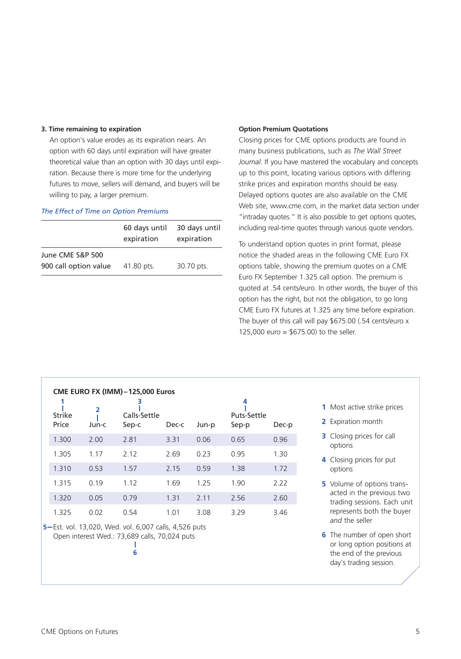#### **3. Time remaining to expiration**

An option's value erodes as its expiration nears. An option with 60 days until expiration will have greater theoretical value than an option with 30 days until expiration. Because there is more time for the underlying futures to move, sellers will demand, and buyers will be willing to pay, a larger premium.

#### *The Effect of Time on Option Premiums*

|                                           | 60 days until<br>expiration | 30 days until<br>expiration |
|-------------------------------------------|-----------------------------|-----------------------------|
| June CME S&P 500<br>900 call option value | 41.80 pts.                  | 30.70 pts.                  |

#### **Option Premium Quotations**

Closing prices for CME options products are found in many business publications, such as *The Wall Street Journal*. If you have mastered the vocabulary and concepts up to this point, locating various options with differing strike prices and expiration months should be easy. Delayed options quotes are also available on the CME Web site, www.cme.com, in the market data section under "intraday quotes." It is also possible to get options quotes, including real-time quotes through various quote vendors.

To understand option quotes in print format, please notice the shaded areas in the following CME Euro FX options table, showing the premium quotes on a CME Euro FX September 1.325 call option. The premium is quoted at .54 cents/euro. In other words, the buyer of this option has the right, but not the obligation, to go long CME Euro FX futures at 1.325 any time before expiration. The buyer of this call will pay \$675.00 (.54 cents/euro x 125,000 euro = \$675.00) to the seller.

|                                                                                                        |            | CME EURO FX (IMM)-125,000 Euros |       |       |                      |       |
|--------------------------------------------------------------------------------------------------------|------------|---------------------------------|-------|-------|----------------------|-------|
| Strike<br>Price                                                                                        | 2<br>Jun-c | Calls-Settle<br>Sep-c           | Dec-c | Jun-p | Puts-Settle<br>Sep-p | Dec-p |
| 1.300                                                                                                  | 2.00       | 2.81                            | 3.31  | 0.06  | 0.65                 | 0.96  |
| 1.305                                                                                                  | 1.17       | 2.12                            | 2.69  | 0.23  | 0.95                 | 1.30  |
| 1.310                                                                                                  | 0.53       | 1.57                            | 2.15  | 0.59  | 1.38                 | 1.72  |
| 1.315                                                                                                  | 0.19       | 1.12                            | 1.69  | 1.25  | 1.90                 | 2.22  |
| 1.320                                                                                                  | 0.05       | 0.79                            | 1.31  | 2.11  | 2.56                 | 2.60  |
| 1.325                                                                                                  | 0.02       | 0.54                            | 1.01  | 3.08  | 3.29                 | 3.46  |
| 5-Est. vol. 13,020, Wed. vol. 6,007 calls, 4,526 puts<br>Open interest Wed.: 73,689 calls, 70,024 puts |            |                                 |       |       |                      |       |

**6**

- **1** Most active strike prices
- **2** Expiration month
- **3** Closing prices for call options
- **4** Closing prices for put options
- **5** Volume of options transacted in the previous two trading sessions. Each unit represents both the buyer *and* the seller
- **6** The number of open short or long option positions at the end of the previous day's trading session.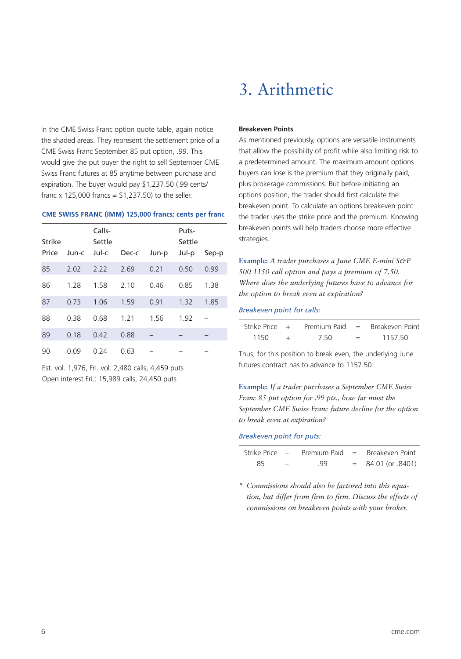In the CME Swiss Franc option quote table, again notice the shaded areas. They represent the settlement price of a CME Swiss Franc September 85 put option, .99. This would give the put buyer the right to sell September CME Swiss Franc futures at 85 anytime between purchase and expiration. The buyer would pay \$1,237.50 (.99 cents/ franc x 125,000 francs =  $$1,237.50$ ) to the seller.

#### **CME SWISS FRANC (IMM) 125,000 francs; cents per franc**

| <b>Strike</b><br>Price | Jun-c | Calls-<br>Settle<br>Jul-c | Dec-c | Jun-p | Puts-<br>Settle<br>Jul-p | Sep-p |
|------------------------|-------|---------------------------|-------|-------|--------------------------|-------|
| 85                     | 2.02  | 2.22                      | 2.69  | 0.21  | 0.50                     | 0.99  |
| 86                     | 1.28  | 1.58                      | 2.10  | 0.46  | 0.85                     | 1.38  |
| 87                     | 0.73  | 1.06                      | 1.59  | 0.91  | 1.32                     | 1.85  |
| 88                     | 0.38  | 0.68                      | 1.21  | 1.56  | 1.92                     |       |
| 89                     | 0.18  | 0.42                      | 0.88  |       |                          |       |
| 90                     | 0.09  | 0.24                      | 0.63  |       |                          |       |

Est. vol. 1,976, Fri. vol. 2,480 calls, 4,459 puts Open interest Fri.: 15,989 calls, 24,450 puts

### 3. Arithmetic

#### **Breakeven Points**

As mentioned previously, options are versatile instruments that allow the possibility of profit while also limiting risk to a predetermined amount. The maximum amount options buyers can lose is the premium that they originally paid, plus brokerage commissions. But before initiating an options position, the trader should first calculate the breakeven point. To calculate an options breakeven point the trader uses the strike price and the premium. Knowing breakeven points will help traders choose more effective strategies.

**Example:** *A trader purchases a June CME E-mini S&P 500 1150 call option and pays a premium of 7.50. Where does the underlying futures have to advance for the option to break even at expiration?*

#### *Breakeven point for calls:*

| Strike Price + |     | Premium Paid $=$ Breakeven Point |
|----------------|-----|----------------------------------|
| 1150           | 750 | 1157 50                          |

Thus, for this position to break even, the underlying June futures contract has to advance to 1157.50.

**Example:** *If a trader purchases a September CME Swiss Franc 85 put option for .99 pts., how far must the September CME Swiss Franc future decline for the option to break even at expiration?*

#### *Breakeven point for puts:*

| Strike Price $-$ | Premium Paid $=$ | Breakeven Point  |
|------------------|------------------|------------------|
| 85.              | .99              | 84.01 (or .8401) |

*\* Commissions should also be factored into this equation, but differ from firm to firm. Discuss the effects of commissions on breakeven points with your broker.*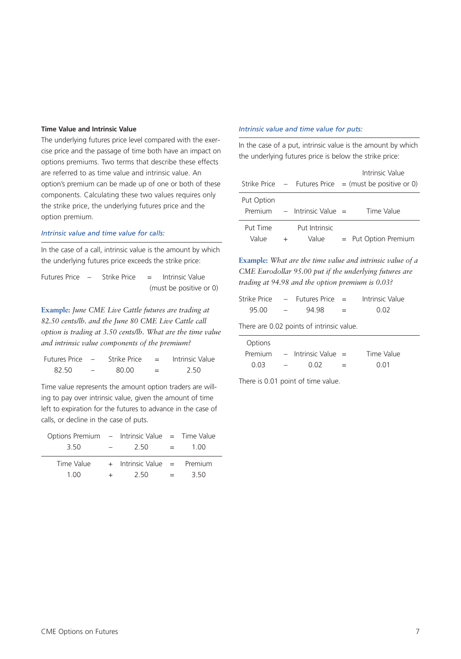#### **Time Value and Intrinsic Value**

The underlying futures price level compared with the exercise price and the passage of time both have an impact on options premiums. Two terms that describe these effects are referred to as time value and intrinsic value. An option's premium can be made up of one or both of these components. Calculating these two values requires only the strike price, the underlying futures price and the option premium.

#### *Intrinsic value and time value for calls:*

In the case of a call, intrinsic value is the amount by which the underlying futures price exceeds the strike price:

| Futures Price – | Strike Price | $=$ | Intrinsic Value         |  |
|-----------------|--------------|-----|-------------------------|--|
|                 |              |     | (must be positive or 0) |  |

**Example:** *June CME Live Cattle futures are trading at 82.50 cents/lb. and the June 80 CME Live Cattle call option is trading at 3.50 cents/lb. What are the time value and intrinsic value components of the premium?*

| <b>Futures Price</b> |                          | Strike Price |     | Intrinsic Value |
|----------------------|--------------------------|--------------|-----|-----------------|
| 82.50                | $\overline{\phantom{a}}$ | 80.00        | $=$ | 2.50            |

Time value represents the amount option traders are willing to pay over intrinsic value, given the amount of time left to expiration for the futures to advance in the case of calls, or decline in the case of puts.

| Options Premium - Intrinsic Value = Time Value |        |                             |                           |      |
|------------------------------------------------|--------|-----------------------------|---------------------------|------|
| 3.50                                           | $\sim$ | 2.50                        | $\mathbf{r} = \mathbf{r}$ | 1.00 |
| Time Value                                     |        | + Intrinsic Value = Premium |                           |      |
| 1.00                                           |        | 2.50                        |                           | 350  |

#### *Intrinsic value and time value for puts:*

In the case of a put, intrinsic value is the amount by which the underlying futures price is below the strike price:

|            |                                 | Intrinsic Value                                            |
|------------|---------------------------------|------------------------------------------------------------|
|            |                                 | Strike Price $-$ Futures Price $=$ (must be positive or 0) |
| Put Option |                                 |                                                            |
|            | Premium $-$ Intrinsic Value $=$ | Time Value                                                 |
| Put Time   | Put Intrinsic                   |                                                            |
| Value      | Value                           | = Put Option Premium                                       |

**Example:** *What are the time value and intrinsic value of a CME Eurodollar 95.00 put if the underlying futures are trading at 94.98 and the option premium is 0.03?*

| Strike Price | $\sim$ $\sim$            | <b>Futures Price</b> |     | Intrinsic Value |
|--------------|--------------------------|----------------------|-----|-----------------|
| 95.00        | $\overline{\phantom{0}}$ | 94.98                | $=$ | 0.02            |

There are 0.02 points of intrinsic value.

| Options |     |                         |            |
|---------|-----|-------------------------|------------|
| Premium |     | $-$ Intrinsic Value $=$ | Time Value |
| 0.03    | $-$ | N 02                    | 0.01       |

There is 0.01 point of time value.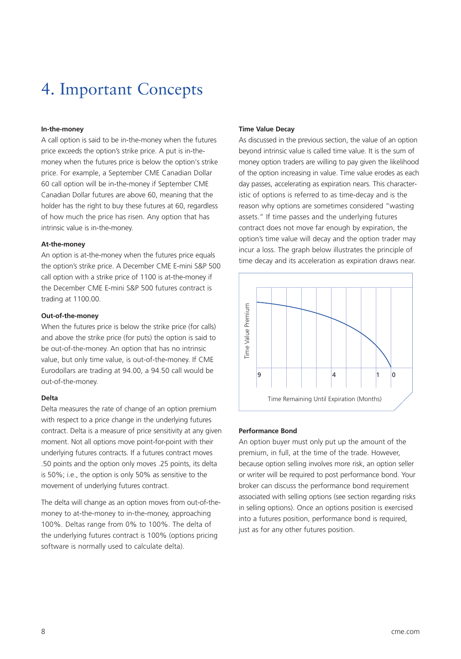# 4. Important Concepts

#### **In-the-money**

A call option is said to be in-the-money when the futures price exceeds the option's strike price. A put is in-themoney when the futures price is below the option's strike price. For example, a September CME Canadian Dollar 60 call option will be in-the-money if September CME Canadian Dollar futures are above 60, meaning that the holder has the right to buy these futures at 60, regardless of how much the price has risen. Any option that has intrinsic value is in-the-money.

#### **At-the-money**

An option is at-the-money when the futures price equals the option's strike price. A December CME E-mini S&P 500 call option with a strike price of 1100 is at-the-money if the December CME E-mini S&P 500 futures contract is trading at 1100.00.

#### **Out-of-the-money**

When the futures price is below the strike price (for calls) and above the strike price (for puts) the option is said to be out-of-the-money. An option that has no intrinsic value, but only time value, is out-of-the-money. If CME Eurodollars are trading at 94.00, a 94.50 call would be out-of-the-money.

#### **Delta**

Delta measures the rate of change of an option premium with respect to a price change in the underlying futures contract. Delta is a measure of price sensitivity at any given moment. Not all options move point-for-point with their underlying futures contracts. If a futures contract moves .50 points and the option only moves .25 points, its delta is 50%; i.e., the option is only 50% as sensitive to the movement of underlying futures contract.

The delta will change as an option moves from out-of-themoney to at-the-money to in-the-money, approaching 100%. Deltas range from 0% to 100%. The delta of the underlying futures contract is 100% (options pricing software is normally used to calculate delta).

#### **Time Value Decay**

As discussed in the previous section, the value of an option beyond intrinsic value is called time value. It is the sum of money option traders are willing to pay given the likelihood of the option increasing in value. Time value erodes as each day passes, accelerating as expiration nears. This characteristic of options is referred to as time-decay and is the reason why options are sometimes considered "wasting assets." If time passes and the underlying futures contract does not move far enough by expiration, the option's time value will decay and the option trader may incur a loss. The graph below illustrates the principle of time decay and its acceleration as expiration draws near.



#### **Performance Bond**

An option buyer must only put up the amount of the premium, in full, at the time of the trade. However, because option selling involves more risk, an option seller or writer will be required to post performance bond. Your broker can discuss the performance bond requirement associated with selling options (see section regarding risks in selling options). Once an options position is exercised into a futures position, performance bond is required, just as for any other futures position.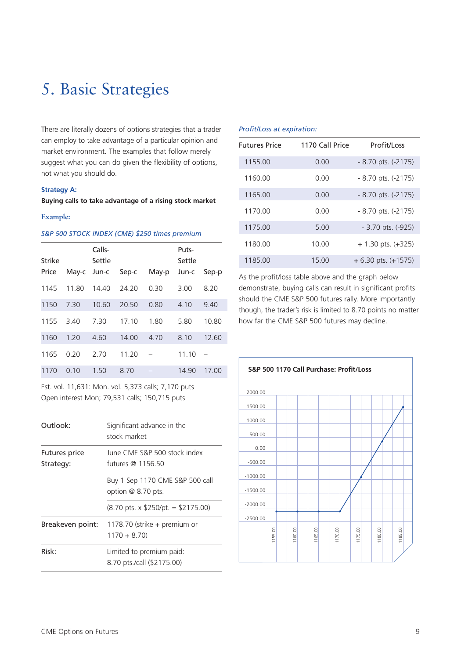### 5. Basic Strategies

There are literally dozens of options strategies that a trader can employ to take advantage of a particular opinion and market environment. The examples that follow merely suggest what you can do given the flexibility of options, not what you should do.

#### **Strategy A:**

**Buying calls to take advantage of a rising stock market**

#### **Example:**

#### *S&P 500 STOCK INDEX (CME) \$250 times premium*

| Strike |       | Calls-<br>Settle |                   |             | Puts-<br>Settle |       |
|--------|-------|------------------|-------------------|-------------|-----------------|-------|
| Price  |       |                  | May-c Jun-c Sep-c | May-p Jun-c |                 | Sep-p |
| 1145   | 11.80 | 14.40            | 24.20             | 0.30        | 3.00            | 8.20  |
| 1150   | 7.30  | 10.60            | 20.50             | 0.80        | 4.10            | 9.40  |
| 1155   | 3.40  | 7.30             | 17.10             | 1.80        | 5.80            | 10.80 |
| 1160   | 1.20  | 4.60             | 14.00             | 4.70        | 8.10            | 12.60 |
| 1165   | 0.20  | 2.70             | 11.20             |             | 11.10           |       |
| 1170   | 0.10  | 1.50             | 8.70              |             | 14.90           | 17.00 |

Est. vol. 11,631: Mon. vol. 5,373 calls; 7,170 puts Open interest Mon; 79,531 calls; 150,715 puts

| Outlook:                          | Significant advance in the<br>stock market              |  |  |
|-----------------------------------|---------------------------------------------------------|--|--|
| <b>Futures price</b><br>Strategy: | June CME S&P 500 stock index<br>futures @ 1156.50       |  |  |
|                                   | Buy 1 Sep 1170 CME S&P 500 call<br>option $@$ 8.70 pts. |  |  |
|                                   | $(8.70 \text{ pts. x } $250/\text{pt.} = $2175.00)$     |  |  |
| Breakeven point:                  | 1178.70 (strike $+$ premium or<br>$1170 + 8.70$         |  |  |
| Risk:                             | Limited to premium paid:<br>8.70 pts./call (\$2175.00)  |  |  |

#### *Profit/Loss at expiration:*

| <b>Futures Price</b> | 1170 Call Price | Profit/Loss            |
|----------------------|-----------------|------------------------|
| 1155.00              | 0.OO            | $-8.70$ pts. $(-2175)$ |
| 1160.00              | 0.00            | $-8.70$ pts. $(-2175)$ |
| 1165.00              | 0.00            | $-8.70$ pts. $(-2175)$ |
| 1170.00              | 0.00            | $-8.70$ pts. $(-2175)$ |
| 1175.00              | 5.00            | $-3.70$ pts. $(-925)$  |
| 1180.00              | 10.00           | $+ 1.30$ pts. $(+325)$ |
| 1185.00              | 15.00           | $+6.30$ pts. $(+1575)$ |

As the profit/loss table above and the graph below demonstrate, buying calls can result in significant profits should the CME S&P 500 futures rally. More importantly though, the trader's risk is limited to 8.70 points no matter how far the CME S&P 500 futures may decline.

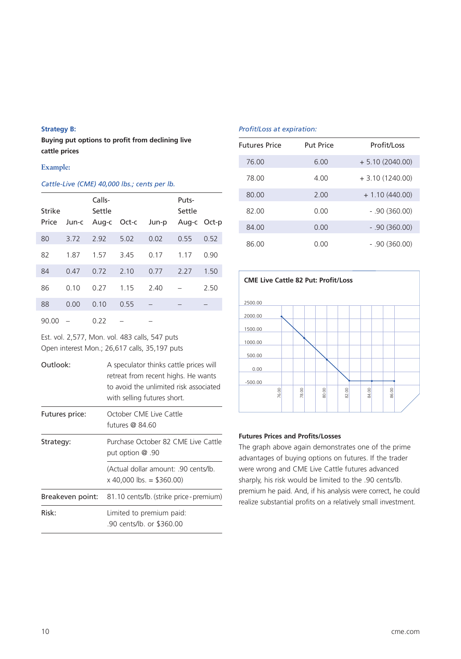#### **Strategy B:**

**Buying put options to profit from declining live cattle prices**

#### **Example:**

#### *Cattle-Live (CME) 40,000 lbs.; cents per lb.*

| Strike<br>Price | Jun-c | Calls-<br>Settle<br>Aug-c Oct-c |      | Jun-p | Puts-<br>Settle<br>Aug-c Oct-p |      |
|-----------------|-------|---------------------------------|------|-------|--------------------------------|------|
| 80              | 3.72  | 2.92                            | 5.02 | 0.02  | 0.55                           | 0.52 |
| 82              | 1.87  | 1.57                            | 3.45 | 0.17  | 1 1 7                          | 0.90 |
| 84              | 0.47  | 0.72                            | 2.10 | 0.77  | 2.27                           | 1.50 |
| 86              | 0.10  | 0.27                            | 1.15 | 2.40  |                                | 2.50 |
| 88              | 0.00  | 0.10                            | 0.55 |       |                                |      |
| 90.00           |       | 0.22                            |      |       |                                |      |

Est. vol. 2,577, Mon. vol. 483 calls, 547 puts Open interest Mon.; 26,617 calls, 35,197 puts

| Outlook:         | A speculator thinks cattle prices will<br>retreat from recent highs. He wants<br>to avoid the unlimited risk associated<br>with selling futures short. |
|------------------|--------------------------------------------------------------------------------------------------------------------------------------------------------|
| Futures price:   | October CME Live Cattle<br>futures @ 84.60                                                                                                             |
| Strategy:        | Purchase October 82 CME Live Cattle<br>90. put option @                                                                                                |
|                  | (Actual dollar amount: .90 cents/lb.<br>$x$ 40,000 lbs. = \$360.00)                                                                                    |
| Breakeven point: | 81.10 cents/lb. (strike price-premium)                                                                                                                 |
| Risk:            | Limited to premium paid:<br>.90 cents/lb. or \$360.00                                                                                                  |

#### *Profit/Loss at expiration:*

| <b>Futures Price</b> | Put Price | Profit/Loss        |
|----------------------|-----------|--------------------|
| 76.00                | 6.00      | $+ 5.10 (2040.00)$ |
| 78.00                | 4.00      | $+3.10(1240.00)$   |
| 80.00                | 2.00      | $+ 1.10(440.00)$   |
| 82.00                | 0.OO      | $-0.90(360.00)$    |
| 84.00                | 0.00      | $-.90(360.00)$     |
| 86.00                | 0.OO      | $-0.90(360.00)$    |



#### **Futures Prices and Profits/Losses**

The graph above again demonstrates one of the prime advantages of buying options on futures. If the trader were wrong and CME Live Cattle futures advanced sharply, his risk would be limited to the .90 cents/lb. premium he paid. And, if his analysis were correct, he could realize substantial profits on a relatively small investment.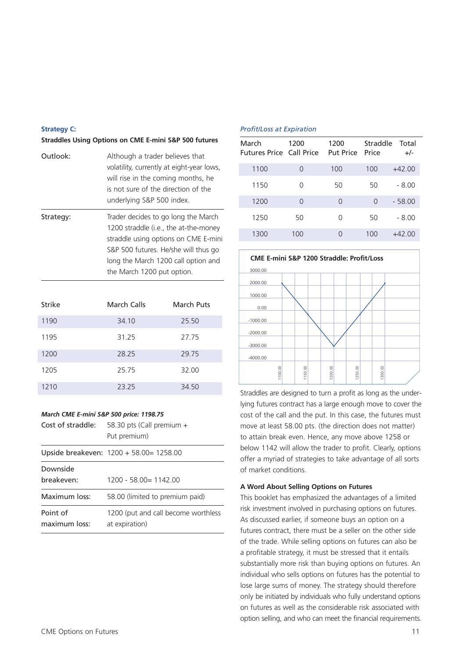#### **Strategy C:**

#### **Straddles Using Options on CME E-mini S&P 500 futures**

| Outlook:  | Although a trader believes that           |
|-----------|-------------------------------------------|
|           | volatility, currently at eight-year lows, |
|           | will rise in the coming months, he        |
|           | is not sure of the direction of the       |
|           | underlying S&P 500 index.                 |
| Strategy: | Trader decides to go long the March       |
|           | 1200 straddle (i.e., the at-the-money     |
|           | straddle using options on CME E-mini      |
|           | S&P 500 futures. He/she will thus go      |
|           | long the March 1200 call option and       |
|           | the March 1200 put option.                |
|           |                                           |

| Strike | March Calls | March Puts |
|--------|-------------|------------|
| 1190   | 34.10       | 25.50      |
| 1195   | 31.25       | 27.75      |
| 1200   | 28.25       | 29.75      |
| 1205   | 25.75       | 32.00      |
| 1210   | 23.25       | 34.50      |

#### *March CME E-mini S&P 500 price: 1198.75*

| Cost of straddle:         | 58.30 pts (Call premium +<br>Put premium)             |
|---------------------------|-------------------------------------------------------|
|                           | Upside breakeven: $1200 + 58.00 = 1258.00$            |
| Downside<br>breakeven:    | $1200 - 5800 = 114200$                                |
| Maximum loss:             | 58.00 (limited to premium paid)                       |
| Point of<br>maximum loss: | 1200 (put and call become worthless<br>at expiration) |

#### *Profit/Loss at Expiration*

| March<br><b>Futures Price Call Price</b> | 1200     | 1200<br>Put Price | Straddle<br>Price | Total<br>$+/-$ |
|------------------------------------------|----------|-------------------|-------------------|----------------|
| 1100                                     | 0        | 100               | 100               | $+42.00$       |
| 1150                                     | 0        | 50                | 50                | $-8.00$        |
| 1200                                     | $\Omega$ | $\Omega$          | 0                 | $-58.00$       |
| 1250                                     | 50       | Ω                 | 50                | $-8.00$        |
| 1300                                     | 100      | O                 | 100               | $+42.00$       |
|                                          |          |                   |                   |                |



Straddles are designed to turn a profit as long as the underlying futures contract has a large enough move to cover the cost of the call and the put. In this case, the futures must move at least 58.00 pts. (the direction does not matter) to attain break even. Hence, any move above 1258 or below 1142 will allow the trader to profit. Clearly, options offer a myriad of strategies to take advantage of all sorts of market conditions.

#### **A Word About Selling Options on Futures**

This booklet has emphasized the advantages of a limited risk investment involved in purchasing options on futures. As discussed earlier, if someone buys an option on a futures contract, there must be a seller on the other side of the trade. While selling options on futures can also be a profitable strategy, it must be stressed that it entails substantially more risk than buying options on futures. An individual who sells options on futures has the potential to lose large sums of money. The strategy should therefore only be initiated by individuals who fully understand options on futures as well as the considerable risk associated with option selling, and who can meet the financial requirements.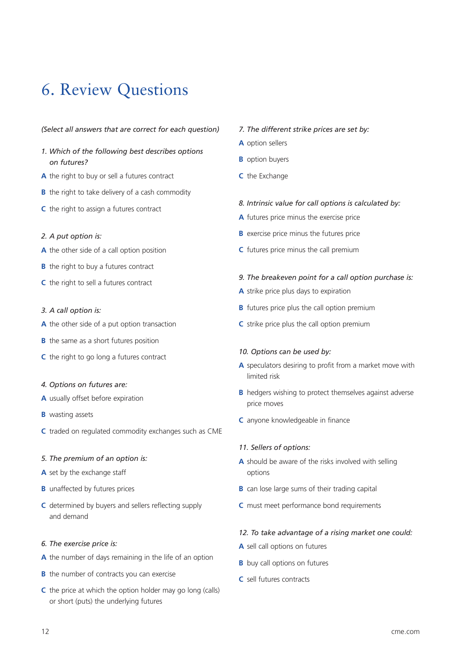### 6. Review Questions

*(Select all answers that are correct for each question)*

- *1. Which of the following best describes options on futures?*
- **A** the right to buy or sell a futures contract
- **B** the right to take delivery of a cash commodity
- **C** the right to assign a futures contract

#### *2. A put option is:*

- **A** the other side of a call option position
- **B** the right to buy a futures contract
- **C** the right to sell a futures contract

#### *3. A call option is:*

- **A** the other side of a put option transaction
- **B** the same as a short futures position
- **C** the right to go long a futures contract

#### *4. Options on futures are:*

- **A** usually offset before expiration
- **B** wasting assets
- **C** traded on regulated commodity exchanges such as CME

#### *5. The premium of an option is:*

- **A** set by the exchange staff
- **B** unaffected by futures prices
- **C** determined by buyers and sellers reflecting supply and demand

#### *6. The exercise price is:*

- **A** the number of days remaining in the life of an option
- **B** the number of contracts you can exercise
- **C** the price at which the option holder may go long (calls) or short (puts) the underlying futures

#### *7. The different strike prices are set by:*

- **A** option sellers
- **B** option buyers
- **C** the Exchange

#### *8. Intrinsic value for call options is calculated by:*

- **A** futures price minus the exercise price
- **B** exercise price minus the futures price
- **C** futures price minus the call premium

#### *9. The breakeven point for a call option purchase is:*

- **A** strike price plus days to expiration
- **B** futures price plus the call option premium
- **C** strike price plus the call option premium

#### *10. Options can be used by:*

- **A** speculators desiring to profit from a market move with limited risk
- **B** hedgers wishing to protect themselves against adverse price moves
- **C** anyone knowledgeable in finance

#### *11. Sellers of options:*

- **A** should be aware of the risks involved with selling options
- **B** can lose large sums of their trading capital
- **C** must meet performance bond requirements

#### *12. To take advantage of a rising market one could:*

- **A** sell call options on futures
- **B** buy call options on futures
- **C** sell futures contracts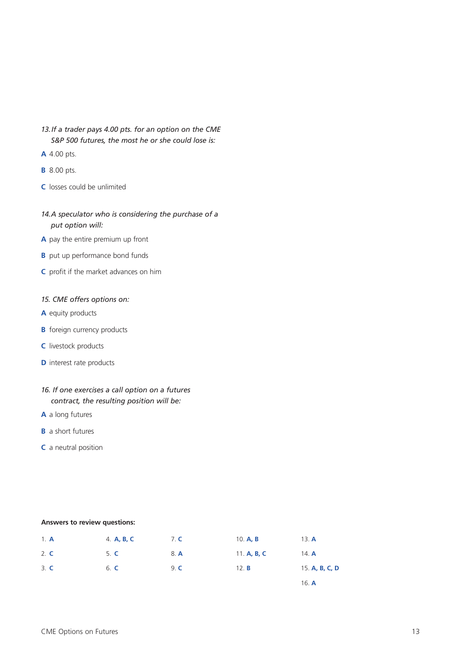- *13.If a trader pays 4.00 pts. for an option on the CME S&P 500 futures, the most he or she could lose is:*
- **A** 4.00 pts.
- **B** 8.00 pts.
- **C** losses could be unlimited
- *14.A speculator who is considering the purchase of a put option will:*
- **A** pay the entire premium up front
- **B** put up performance bond funds
- **C** profit if the market advances on him

#### *15. CME offers options on:*

- **A** equity products
- **B** foreign currency products
- **C** livestock products
- **D** interest rate products
- *16. If one exercises a call option on a futures contract, the resulting position will be:*
- **A** a long futures
- **B** a short futures
- **C** a neutral position

#### **Answers to review questions:**

| 1. A | 4. A, B, C | 7. C | 10. $A$ , $B$ | 13. A          |
|------|------------|------|---------------|----------------|
| 2. C | 5. $C$     | 8. A | 11. $A, B, C$ | 14. $A$        |
| 3. C | 6. C       | 9. C | 12. B         | 15. A, B, C, D |
|      |            |      |               | 16. A          |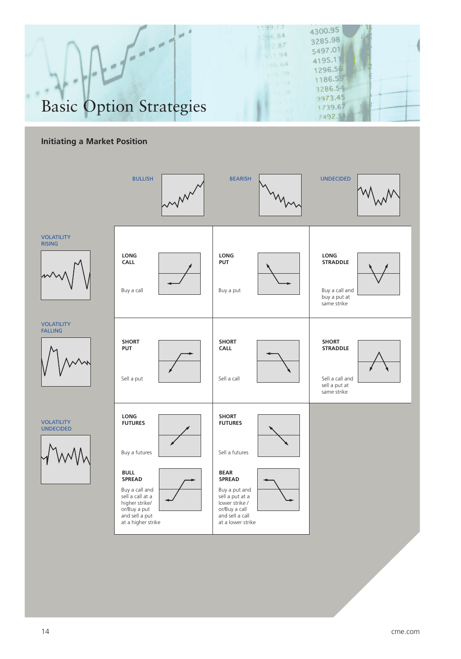# Basic Option Strategies

 $\sim$ 

#### **Initiating a Market Position**



 $1199.75$ 

1296.84

1122.87

 $151.94$ 

 $0.5, 6.4$ 

4300.95

3285.98

5497.01

4195.11

1296.5 1186.55 3286.54 9973.45 1739.67 7492.5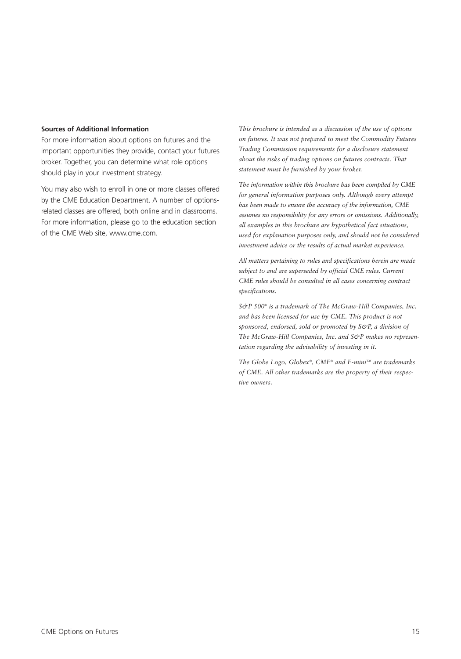#### **Sources of Additional Information**

For more information about options on futures and the important opportunities they provide, contact your futures broker. Together, you can determine what role options should play in your investment strategy.

You may also wish to enroll in one or more classes offered by the CME Education Department. A number of optionsrelated classes are offered, both online and in classrooms. For more information, please go to the education section of the CME Web site, www.cme.com.

*This brochure is intended as a discussion of the use of options on futures. It was not prepared to meet the Commodity Futures Trading Commission requirements for a disclosure statement about the risks of trading options on futures contracts. That statement must be furnished by your broker.*

*The information within this brochure has been compiled by CME for general information purposes only. Although every attempt has been made to ensure the accuracy of the information, CME assumes no responsibility for any errors or omissions. Additionally, all examples in this brochure are hypothetical fact situations, used for explanation purposes only, and should not be considered investment advice or the results of actual market experience.*

*All matters pertaining to rules and specifications herein are made subject to and are superseded by official CME rules. Current CME rules should be consulted in all cases concerning contract specifications.*

*S&P 500® is a trademark of The McGraw-Hill Companies, Inc. and has been licensed for use by CME. This product is not sponsored, endorsed, sold or promoted by S&P, a division of The McGraw-Hill Companies, Inc. and S&P makes no representation regarding the advisability of investing in it.*

*The Globe Logo, Globex®, CME® and E-miniTM are trademarks of CME. All other trademarks are the property of their respective owners.*